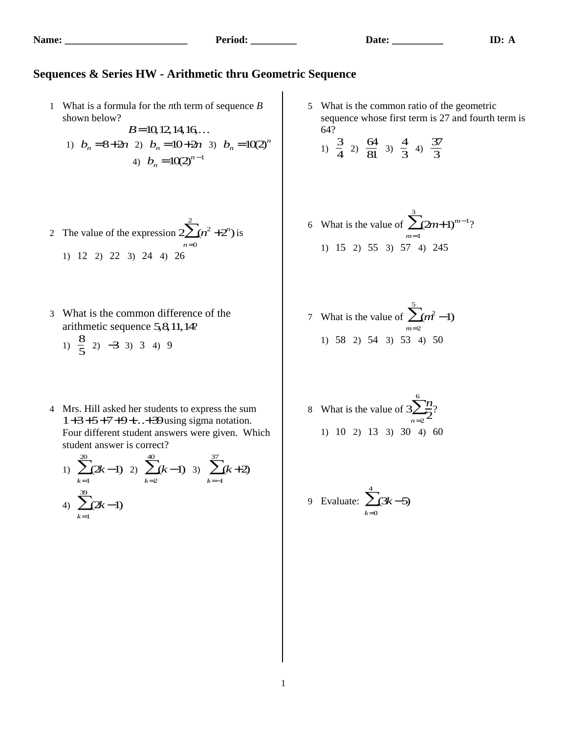## **Sequences & Series HW - Arithmetic thru Geometric Sequence**

- 1 What is a formula for the *n*th term of sequence *B* shown below?
	- *B*=10,12,14,16... 1)  $b_n = 8 + 2n$  2)  $b_n = 10 + 2n$  3)  $b_n = 10(2)^n$ 4)  $b_n = 10(2)^{n-1}$
- 5 What is the common ratio of the geometric sequence whose first term is 27 and fourth term is 64?

1) 
$$
\frac{3}{4}
$$
 2)  $\frac{64}{81}$  3)  $\frac{4}{3}$  4)  $\frac{37}{3}$ 

6 What is the value of 
$$
\sum_{m=1}^{3} (2m+1)^{m-1}
$$
?  
1) 15 2) 55 3) 57 4) 245

- 7 What is the value of  $\sum (m^2 1)$ *m*=2  $\sum_{i=1}^{5}$ 1) 58 2) 54 3) 53 4) 50
- 8 What is the value of  $3\sum_{0}^{6}n$  $\overline{2}$ *n*=2  $\sum_{n=2}^{6}$ ? 1) 10 2) 13 3) 30 4) 60

9 Evaluate: 
$$
\sum_{k=0}^{4} (3k-5)
$$

- 2 The value of the expression  $2\sum(n^2+2^n)$ *n*=0  $\sum_{n=1}^{2} (n^2 + 2^n)$  is 1) 12 2) 22 3) 24 4) 26
	- 3 What is the common difference of the arithmetic sequence 5,8,11,14?
		- 1)  $\frac{8}{5}$  $\frac{8}{5}$  2) -3 3) 3 4) 9
	- 4 Mrs. Hill asked her students to express the sum  $1+3+5+7+9+\ldots+39$  using sigma notation. Four different student answers were given. Which student answer is correct?

1) 
$$
\sum_{k=1}^{20} (2k-1) \quad 2) \sum_{k=2}^{40} (k-1) \quad 3) \sum_{k=-1}^{37} (k+2)
$$
  
4)  $\sum_{k=1}^{39} (2k-1)$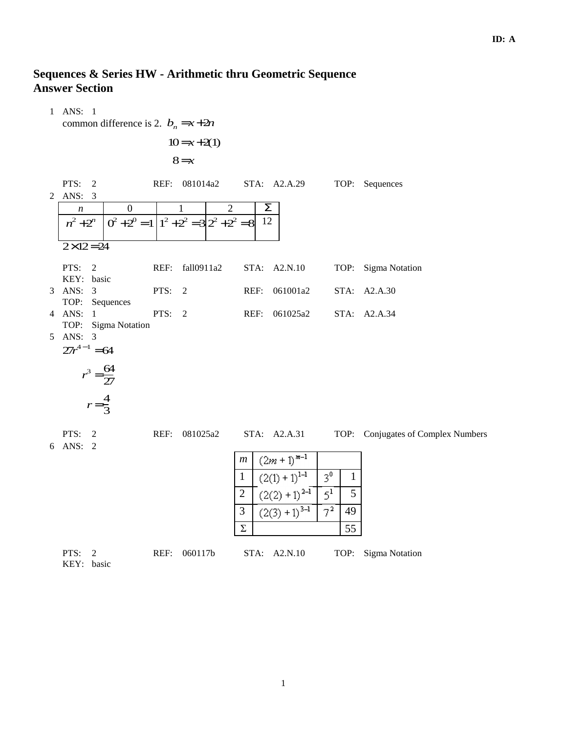## **ID: A**

## **Sequences & Series HW - Arithmetic thru Geometric Sequence Answer Section**

 1 ANS: 1 common difference is 2.  $b_n = x + 2n$  $10=x+2(1)$ 8=*x* PTS: 2 REF: 081014a2 STA: A2.A.29 TOP: Sequences 2 ANS: 3 *n* 0 1 2 Σ  $n^2 + 2^n$  $0^2 + 2^0 = 1 \left[ 1^2 + 2^2 = 3 \right] 2^2 + 2^2 = 8 \left[ 12 \right]$  $2 \times 12 = 24$ PTS: 2 REF: fall0911a2 STA: A2.N.10 TOP: Sigma Notation KEY: basic 3 ANS: 3 PTS: 2 REF: 061001a2 STA: A2.A.30 TOP: Sequences 4 ANS: 1 PTS: 2 REF: 061025a2 STA: A2.A.34 TOP: Sigma Notation 5 ANS: 3  $27r^{4-1} = 64$  $r^3 = \frac{64}{27}$  $\overline{27}$  $r=\frac{4}{3}$  $\overline{3}$ PTS: 2 REF: 081025a2 STA: A2.A.31 TOP: Conjugates of Complex Numbers 6 ANS: 2

| m        | $(2m + 1)^{m-1}$   |                |    |
|----------|--------------------|----------------|----|
|          | $(2(1) + 1)^{1-1}$ | $3^0$          |    |
| 2        | $(2(2) + 1)^{2-1}$ | 55             |    |
| 3        | $(2(3) + 1)^{3-1}$ | 7 <sup>2</sup> | 49 |
| $\Sigma$ | 55                 |                |    |

| PTS: $2$   |  | REF: 060117b | STA: A2.N.10 | TOP: Sigma Notation |
|------------|--|--------------|--------------|---------------------|
| KEY: basic |  |              |              |                     |